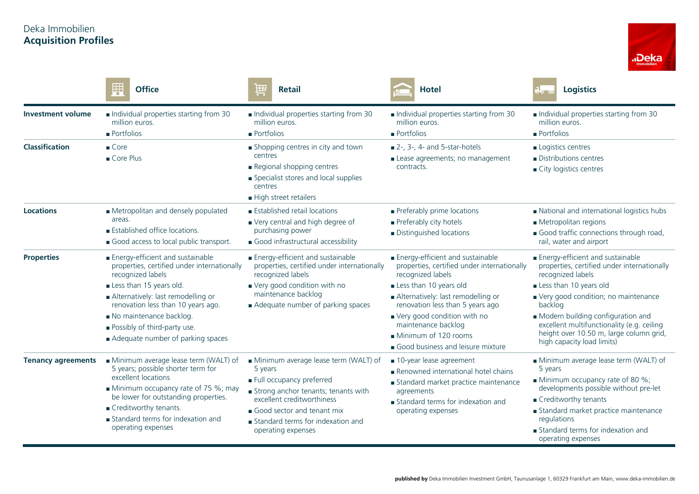## Deka Immobilien **Acquisition Profiles**



|                           | H<br><b>Office</b>                                                                                                                                                                                                                                                   | 田<br><b>Retail</b><br>╤                                                                                                                                                                                                                   | <b>Hotel</b>                                                                                                                                                                                                        | <b>Logistics</b>                                                                                                                                                                                                                                                      |
|---------------------------|----------------------------------------------------------------------------------------------------------------------------------------------------------------------------------------------------------------------------------------------------------------------|-------------------------------------------------------------------------------------------------------------------------------------------------------------------------------------------------------------------------------------------|---------------------------------------------------------------------------------------------------------------------------------------------------------------------------------------------------------------------|-----------------------------------------------------------------------------------------------------------------------------------------------------------------------------------------------------------------------------------------------------------------------|
| <b>Investment volume</b>  | Individual properties starting from 30<br>million euros.<br><b>Portfolios</b>                                                                                                                                                                                        | Individual properties starting from 30<br>million euros.<br>$\blacksquare$ Portfolios                                                                                                                                                     | Individual properties starting from 30<br>million euros.<br>$\blacksquare$ Portfolios                                                                                                                               | Individual properties starting from 30<br>million euros.<br>$\blacksquare$ Portfolios                                                                                                                                                                                 |
| <b>Classification</b>     | $\blacksquare$ Core<br>Core Plus                                                                                                                                                                                                                                     | Shopping centres in city and town<br>centres<br>Regional shopping centres<br>Specialist stores and local supplies<br>centres<br>High street retailers                                                                                     | $\blacksquare$ 2-, 3-, 4- and 5-star-hotels<br>Lease agreements; no management<br>contracts.                                                                                                                        | Logistics centres<br>Distributions centres<br>City logistics centres                                                                                                                                                                                                  |
| <b>Locations</b>          | Metropolitan and densely populated<br>areas.<br><b>Established office locations.</b><br>Good access to local public transport.                                                                                                                                       | <b>Established retail locations</b><br>Very central and high degree of<br>purchasing power<br>Good infrastructural accessibility                                                                                                          | Preferably prime locations<br>Preferably city hotels<br>Distinguished locations                                                                                                                                     | National and international logistics hubs<br>Metropolitan regions<br>Good traffic connections through road,<br>rail, water and airport                                                                                                                                |
| <b>Properties</b>         | Energy-efficient and sustainable<br>properties, certified under internationally<br>recognized labels                                                                                                                                                                 | Energy-efficient and sustainable<br>properties, certified under internationally<br>recognized labels<br>Very good condition with no<br>maintenance backlog<br>Adequate number of parking spaces                                           | Energy-efficient and sustainable<br>properties, certified under internationally<br>recognized labels                                                                                                                | Energy-efficient and sustainable<br>properties, certified under internationally<br>recognized labels                                                                                                                                                                  |
|                           | Less than 15 years old.<br>Alternatively: last remodelling or<br>renovation less than 10 years ago.<br>No maintenance backlog.<br><b>Possibly of third-party use.</b><br>Adequate number of parking spaces                                                           |                                                                                                                                                                                                                                           | Less than 10 years old<br>Alternatively: last remodelling or<br>renovation less than 5 years ago<br>Very good condition with no<br>maintenance backlog<br>Minimum of 120 rooms<br>Good business and leisure mixture | Less than 10 years old<br>Very good condition; no maintenance<br>backlog<br>Modern building configuration and<br>excellent multifunctionality (e.g. ceiling<br>height over 10.50 m, large column grid,<br>high capacity load limits)                                  |
| <b>Tenancy agreements</b> | Minimum average lease term (WALT) of<br>5 years; possible shorter term for<br>excellent locations<br>Minimum occupancy rate of 75 %; may<br>be lower for outstanding properties.<br>Creditworthy tenants.<br>Standard terms for indexation and<br>operating expenses | Minimum average lease term (WALT) of<br>5 years<br>Full occupancy preferred<br>Strong anchor tenants; tenants with<br>excellent creditworthiness<br>Good sector and tenant mix<br>Standard terms for indexation and<br>operating expenses | ■ 10-year lease agreement<br>Renowned international hotel chains<br>Standard market practice maintenance<br>agreements<br>Standard terms for indexation and<br>operating expenses                                   | Minimum average lease term (WALT) of<br>5 years<br>Minimum occupancy rate of 80 %;<br>developments possible without pre-let<br>Creditworthy tenants<br>Standard market practice maintenance<br>regulations<br>Standard terms for indexation and<br>operating expenses |